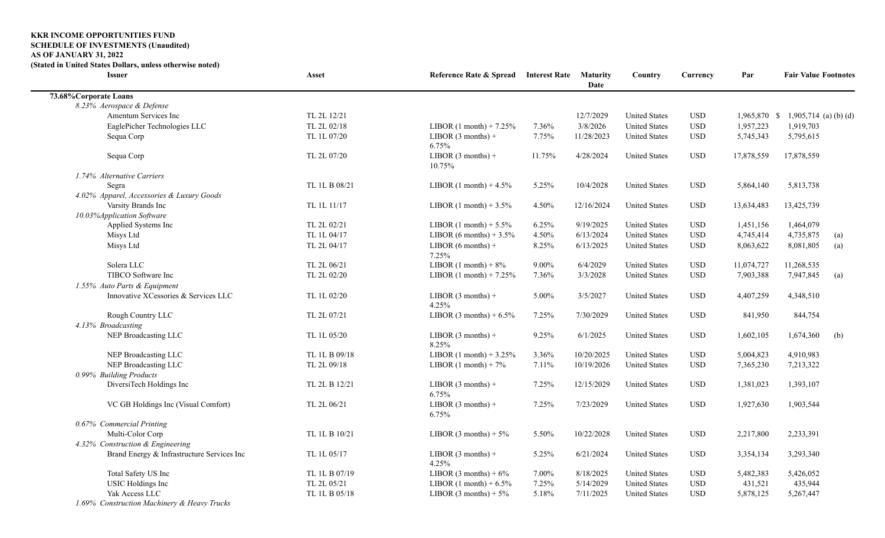## **KKR INCOME OPPORTUNITIES FUND**

## **SCHEDULE OF INVESTMENTS (Unaudited)**

**AS OF JANUARY 31, 2022**

**(Stated in United States Dollars, unless otherwise noted)**

| <b>Issuer</b>                               | Asset         | Reference Rate & Spread Interest Rate Maturity |          | Date       | Country              | Currency     | Par          | <b>Fair Value Footnotes</b> |     |
|---------------------------------------------|---------------|------------------------------------------------|----------|------------|----------------------|--------------|--------------|-----------------------------|-----|
| 73.68% Corporate Loans                      |               |                                                |          |            |                      |              |              |                             |     |
| 8.23% Aerospace & Defense                   |               |                                                |          |            |                      |              |              |                             |     |
| Amentum Services Inc                        | TL 2L 12/21   |                                                |          | 12/7/2029  | <b>United States</b> | $_{\rm USD}$ | 1,965,870 \$ | 1,905,714 (a) (b) (d)       |     |
| EaglePicher Technologies LLC                | TL 2L 02/18   | LIBOR $(1 \text{ month}) + 7.25\%$             | 7.36%    | 3/8/2026   | <b>United States</b> | <b>USD</b>   | 1,957,223    | 1,919,703                   |     |
| Sequa Corp                                  | TL 1L 07/20   | LIBOR $(3$ months) +<br>6.75%                  | 7.75%    | 11/28/2023 | <b>United States</b> | $_{\rm USD}$ | 5,745,343    | 5,795,615                   |     |
| Sequa Corp                                  | TL 2L 07/20   | LIBOR $(3$ months) +<br>10.75%                 | 11.75%   | 4/28/2024  | <b>United States</b> | $_{\rm USD}$ | 17,878,559   | 17,878,559                  |     |
| 1.74% Alternative Carriers                  |               |                                                |          |            |                      |              |              |                             |     |
| Segra                                       | TL 1L B 08/21 | LIBOR $(1 \text{ month}) + 4.5\%$              | 5.25%    | 10/4/2028  | <b>United States</b> | <b>USD</b>   | 5,864,140    | 5,813,738                   |     |
| 4.02% Apparel, Accessories & Luxury Goods   |               |                                                |          |            |                      |              |              |                             |     |
| Varsity Brands Inc                          | TL 1L 11/17   | LIBOR $(1 \text{ month}) + 3.5\%$              | 4.50%    | 12/16/2024 | <b>United States</b> | $_{\rm USD}$ | 13,634,483   | 13,425,739                  |     |
| 10.03%Application Software                  |               |                                                |          |            |                      |              |              |                             |     |
| Applied Systems Inc                         | TL 2L 02/21   | LIBOR $(1 \text{ month}) + 5.5\%$              | 6.25%    | 9/19/2025  | <b>United States</b> | $_{\rm USD}$ | 1,451,156    | 1,464,079                   |     |
| Misys Ltd                                   | TL 1L 04/17   | LIBOR (6 months) + $3.5\%$                     | 4.50%    | 6/13/2024  | <b>United States</b> | <b>USD</b>   | 4,745,414    | 4,735,875                   | (a) |
| Misys Ltd                                   | TL 2L 04/17   | LIBOR $(6$ months $)$ +<br>7.25%               | 8.25%    | 6/13/2025  | <b>United States</b> | $_{\rm USD}$ | 8,063,622    | 8,081,805                   | (a) |
| Solera LLC                                  | TL 2L 06/21   | LIBOR $(1 \text{ month}) + 8\%$                | $9.00\%$ | 6/4/2029   | <b>United States</b> | <b>USD</b>   | 11,074,727   | 11,268,535                  |     |
| TIBCO Software Inc                          | TL 2L 02/20   | LIBOR $(1 \text{ month}) + 7.25\%$             | 7.36%    | 3/3/2028   | <b>United States</b> | <b>USD</b>   | 7,903,388    | 7,947,845                   | (a) |
| 1.55% Auto Parts & Equipment                |               |                                                |          |            |                      |              |              |                             |     |
| Innovative XCessories & Services LLC        | TL 1L 02/20   | LIBOR $(3$ months) +<br>4.25%                  | 5.00%    | 3/5/2027   | <b>United States</b> | <b>USD</b>   | 4,407,259    | 4,348,510                   |     |
| Rough Country LLC                           | TL 2L 07/21   | LIBOR $(3 \text{ months}) + 6.5\%$             | 7.25%    | 7/30/2029  | <b>United States</b> | <b>USD</b>   | 841,950      | 844,754                     |     |
| 4.13% Broadcasting                          |               |                                                |          |            |                      |              |              |                             |     |
| NEP Broadcasting LLC                        | TL 1L 05/20   | LIBOR $(3$ months) +<br>8.25%                  | 9.25%    | 6/1/2025   | <b>United States</b> | <b>USD</b>   | 1,602,105    | 1,674,360                   | (b) |
| NEP Broadcasting LLC                        | TL 1L B 09/18 | LIBOR $(1 \text{ month}) + 3.25\%$             | 3.36%    | 10/20/2025 | <b>United States</b> | $_{\rm USD}$ | 5,004,823    | 4,910,983                   |     |
| NEP Broadcasting LLC                        | TL 2L 09/18   | LIBOR $(1 \text{ month}) + 7\%$                | 7.11%    | 10/19/2026 | <b>United States</b> | <b>USD</b>   | 7,365,230    | 7,213,322                   |     |
| 0.99% Building Products                     |               |                                                |          |            |                      |              |              |                             |     |
| DiversiTech Holdings Inc                    | TL 2L B 12/21 | LIBOR $(3$ months) +<br>6.75%                  | 7.25%    | 12/15/2029 | <b>United States</b> | <b>USD</b>   | 1,381,023    | 1,393,107                   |     |
| VC GB Holdings Inc (Visual Comfort)         | TL 2L 06/21   | LIBOR $(3$ months) +<br>6.75%                  | 7.25%    | 7/23/2029  | <b>United States</b> | $_{\rm USD}$ | 1,927,630    | 1,903,544                   |     |
| 0.67% Commercial Printing                   |               |                                                |          |            |                      |              |              |                             |     |
| Multi-Color Corp                            | TL 1L B 10/21 | LIBOR $(3 \text{ months}) + 5\%$               | 5.50%    | 10/22/2028 | <b>United States</b> | $_{\rm USD}$ | 2,217,800    | 2,233,391                   |     |
| 4.32% Construction & Engineering            |               |                                                |          |            |                      |              |              |                             |     |
| Brand Energy & Infrastructure Services Inc  | TL 1L 05/17   | LIBOR $(3$ months) +<br>4.25%                  | 5.25%    | 6/21/2024  | <b>United States</b> | <b>USD</b>   | 3,354,134    | 3,293,340                   |     |
| Total Safety US Inc                         | TL 1L B 07/19 | LIBOR $(3 \text{ months}) + 6\%$               | 7.00%    | 8/18/2025  | <b>United States</b> | $_{\rm USD}$ | 5,482,383    | 5,426,052                   |     |
| <b>USIC</b> Holdings Inc                    | TL 2L 05/21   | LIBOR $(1 \text{ month}) + 6.5\%$              | 7.25%    | 5/14/2029  | <b>United States</b> | <b>USD</b>   | 431,521      | 435,944                     |     |
| Yak Access LLC                              | TL 1L B 05/18 | LIBOR $(3 \text{ months}) + 5\%$               | 5.18%    | 7/11/2025  | <b>United States</b> | <b>USD</b>   | 5,878,125    | 5,267,447                   |     |
| 1.69% Construction Machinery & Heavy Trucks |               |                                                |          |            |                      |              |              |                             |     |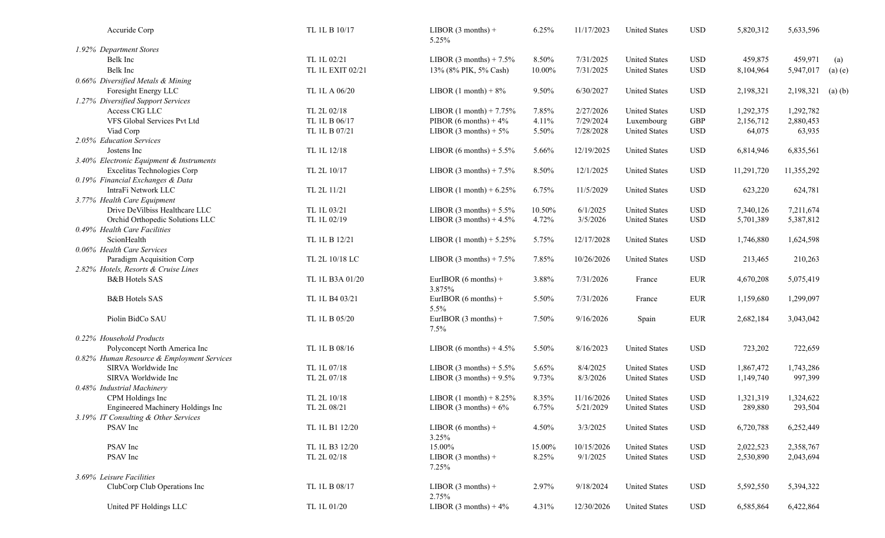| Accuride Corp                              | TL 1L B 10/17    | LIBOR $(3$ months) +<br>5.25%      | 6.25%  | 11/17/2023 | <b>United States</b> | <b>USD</b>  | 5,820,312  | 5,633,596  |             |
|--------------------------------------------|------------------|------------------------------------|--------|------------|----------------------|-------------|------------|------------|-------------|
| 1.92% Department Stores                    |                  |                                    |        |            |                      |             |            |            |             |
| Belk Inc                                   | TL 1L 02/21      | LIBOR $(3 \text{ months}) + 7.5\%$ | 8.50%  | 7/31/2025  | <b>United States</b> | <b>USD</b>  | 459,875    | 459,971    | (a)         |
| Belk Inc                                   | TL 1L EXIT 02/21 | 13% (8% PIK, 5% Cash)              | 10.00% | 7/31/2025  | <b>United States</b> | <b>USD</b>  | 8,104,964  | 5,947,017  | $(a)$ $(e)$ |
| 0.66% Diversified Metals & Mining          |                  |                                    |        |            |                      |             |            |            |             |
| Foresight Energy LLC                       | TL 1L A 06/20    | LIBOR $(1 \text{ month}) + 8\%$    | 9.50%  | 6/30/2027  | <b>United States</b> | <b>USD</b>  | 2,198,321  | 2,198,321  | $(a)$ $(b)$ |
| 1.27% Diversified Support Services         |                  |                                    |        |            |                      |             |            |            |             |
| Access CIG LLC                             | TL 2L 02/18      | LIBOR $(1 \text{ month}) + 7.75\%$ | 7.85%  | 2/27/2026  | <b>United States</b> | <b>USD</b>  | 1,292,375  | 1,292,782  |             |
| VFS Global Services Pvt Ltd                | TL 1L B 06/17    | PIBOR $(6$ months) + 4%            | 4.11%  | 7/29/2024  | Luxembourg           | ${\rm GBP}$ | 2,156,712  | 2,880,453  |             |
| Viad Corp                                  | TL 1L B 07/21    | LIBOR $(3 \text{ months}) + 5\%$   | 5.50%  | 7/28/2028  | <b>United States</b> | <b>USD</b>  | 64,075     | 63,935     |             |
| 2.05% Education Services                   |                  |                                    |        |            |                      |             |            |            |             |
| Jostens Inc                                | TL 1L 12/18      | LIBOR $(6 \text{ months}) + 5.5\%$ | 5.66%  | 12/19/2025 | <b>United States</b> | <b>USD</b>  | 6,814,946  | 6,835,561  |             |
| 3.40% Electronic Equipment & Instruments   |                  |                                    |        |            |                      |             |            |            |             |
| Excelitas Technologies Corp                | TL 2L 10/17      | LIBOR $(3 \text{ months}) + 7.5\%$ | 8.50%  | 12/1/2025  | <b>United States</b> | <b>USD</b>  | 11,291,720 | 11,355,292 |             |
| 0.19% Financial Exchanges & Data           |                  |                                    |        |            |                      |             |            |            |             |
| IntraFi Network LLC                        | TL 2L 11/21      | LIBOR $(1 \text{ month}) + 6.25\%$ | 6.75%  | 11/5/2029  | <b>United States</b> | <b>USD</b>  | 623,220    | 624,781    |             |
| 3.77% Health Care Equipment                |                  |                                    |        |            |                      |             |            |            |             |
| Drive DeVilbiss Healthcare LLC             | TL 1L 03/21      | LIBOR $(3 \text{ months}) + 5.5\%$ | 10.50% | 6/1/2025   | <b>United States</b> | <b>USD</b>  | 7,340,126  | 7,211,674  |             |
| Orchid Orthopedic Solutions LLC            | TL 1L 02/19      | LIBOR $(3 \text{ months}) + 4.5\%$ | 4.72%  | 3/5/2026   | <b>United States</b> | <b>USD</b>  | 5,701,389  | 5,387,812  |             |
| 0.49% Health Care Facilities               |                  |                                    |        |            |                      |             |            |            |             |
| ScionHealth                                | TL 1L B 12/21    | LIBOR $(1 \text{ month}) + 5.25\%$ | 5.75%  | 12/17/2028 | <b>United States</b> | <b>USD</b>  | 1,746,880  | 1,624,598  |             |
| 0.06% Health Care Services                 |                  |                                    |        |            |                      |             |            |            |             |
| Paradigm Acquisition Corp                  | TL 2L 10/18 LC   |                                    | 7.85%  | 10/26/2026 | <b>United States</b> | <b>USD</b>  |            | 210,263    |             |
| 2.82% Hotels, Resorts & Cruise Lines       |                  | LIBOR $(3 \text{ months}) + 7.5\%$ |        |            |                      |             | 213,465    |            |             |
| <b>B&amp;B</b> Hotels SAS                  | TL 1L B3A 01/20  | EurIBOR $(6$ months) +             | 3.88%  | 7/31/2026  |                      | <b>EUR</b>  |            | 5,075,419  |             |
|                                            |                  | 3.875%                             |        |            | France               |             | 4,670,208  |            |             |
|                                            | TL 1L B4 03/21   |                                    |        | 7/31/2026  |                      |             |            |            |             |
| <b>B&amp;B</b> Hotels SAS                  |                  | EurIBOR $(6$ months) +<br>5.5%     | 5.50%  |            | France               | ${\rm EUR}$ | 1,159,680  | 1,299,097  |             |
| Piolin BidCo SAU                           | TL 1L B 05/20    |                                    | 7.50%  | 9/16/2026  |                      | <b>EUR</b>  |            | 3,043,042  |             |
|                                            |                  | EurIBOR $(3$ months) +             |        |            | Spain                |             | 2,682,184  |            |             |
|                                            |                  | 7.5%                               |        |            |                      |             |            |            |             |
| 0.22% Household Products                   |                  |                                    |        |            |                      |             |            |            |             |
| Polyconcept North America Inc              | TL 1L B 08/16    | LIBOR $(6 \text{ months}) + 4.5\%$ | 5.50%  | 8/16/2023  | <b>United States</b> | <b>USD</b>  | 723,202    | 722,659    |             |
| 0.82% Human Resource & Employment Services |                  |                                    |        |            |                      |             |            |            |             |
| SIRVA Worldwide Inc                        | TL 1L 07/18      | LIBOR $(3 \text{ months}) + 5.5\%$ | 5.65%  | 8/4/2025   | <b>United States</b> | <b>USD</b>  | 1,867,472  | 1,743,286  |             |
| SIRVA Worldwide Inc                        | TL 2L 07/18      | LIBOR $(3 \text{ months}) + 9.5\%$ | 9.73%  | 8/3/2026   | <b>United States</b> | <b>USD</b>  | 1,149,740  | 997,399    |             |
| 0.48% Industrial Machinery                 |                  |                                    |        |            |                      |             |            |            |             |
| CPM Holdings Inc                           | TL 2L 10/18      | LIBOR $(1 \text{ month}) + 8.25\%$ | 8.35%  | 11/16/2026 | <b>United States</b> | <b>USD</b>  | 1,321,319  | 1,324,622  |             |
| Engineered Machinery Holdings Inc          | TL 2L 08/21      | LIBOR $(3 \text{ months}) + 6\%$   | 6.75%  | 5/21/2029  | <b>United States</b> | <b>USD</b>  | 289,880    | 293,504    |             |
| 3.19% IT Consulting & Other Services       |                  |                                    |        |            |                      |             |            |            |             |
| PSAV Inc                                   | TL 1L B1 12/20   | LIBOR $(6$ months $) +$            | 4.50%  | 3/3/2025   | <b>United States</b> | <b>USD</b>  | 6,720,788  | 6,252,449  |             |
|                                            |                  | 3.25%                              |        |            |                      |             |            |            |             |
| PSAV Inc                                   | TL 1L B3 12/20   | 15.00%                             | 15.00% | 10/15/2026 | <b>United States</b> | <b>USD</b>  | 2,022,523  | 2,358,767  |             |
| PSAV Inc                                   | TL 2L 02/18      | LIBOR $(3$ months) +               | 8.25%  | 9/1/2025   | <b>United States</b> | <b>USD</b>  | 2,530,890  | 2,043,694  |             |
|                                            |                  | 7.25%                              |        |            |                      |             |            |            |             |
| 3.69% Leisure Facilities                   |                  |                                    |        |            |                      |             |            |            |             |
| ClubCorp Club Operations Inc               | TL 1L B 08/17    | LIBOR $(3$ months) +<br>2.75%      | 2.97%  | 9/18/2024  | <b>United States</b> | <b>USD</b>  | 5,592,550  | 5,394,322  |             |
| United PF Holdings LLC                     | TL 1L 01/20      | LIBOR $(3 \text{ months}) + 4\%$   | 4.31%  | 12/30/2026 | <b>United States</b> | <b>USD</b>  | 6,585,864  | 6,422,864  |             |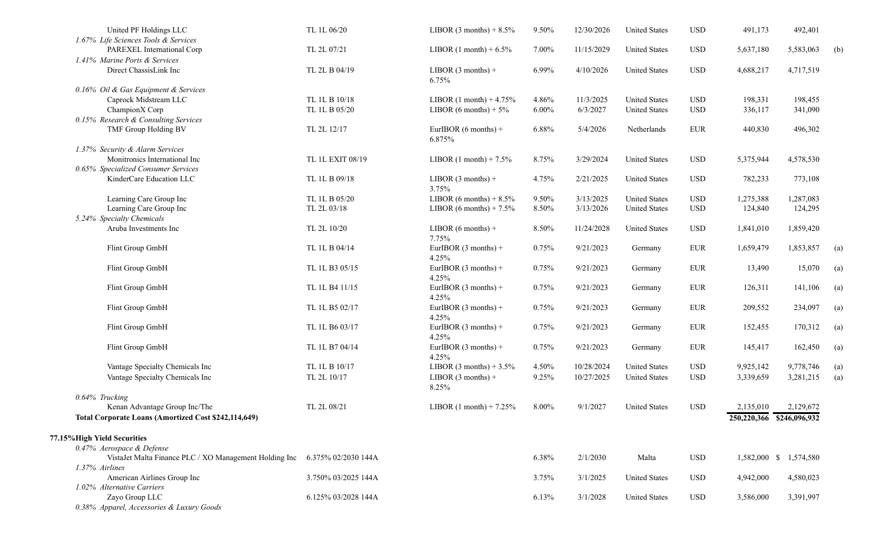| United PF Holdings LLC                                      | TL 1L 06/20         | LIBOR $(3 \text{ months}) + 8.5\%$  | 9.50%    | 12/30/2026 | <b>United States</b> | <b>USD</b>   | 491,173                   | 492,401                |                   |
|-------------------------------------------------------------|---------------------|-------------------------------------|----------|------------|----------------------|--------------|---------------------------|------------------------|-------------------|
| 1.67% Life Sciences Tools & Services                        |                     |                                     |          |            |                      |              |                           |                        |                   |
| PAREXEL International Corp                                  | TL 2L 07/21         | LIBOR $(1 \text{ month}) + 6.5\%$   | 7.00%    | 11/15/2029 | <b>United States</b> | <b>USD</b>   | 5,637,180                 | 5,583,063              | (b)               |
| 1.41% Marine Ports & Services                               |                     |                                     |          |            |                      |              |                           |                        |                   |
| Direct ChassisLink Inc                                      | TL 2L B 04/19       | LIBOR $(3$ months) +<br>6.75%       | 6.99%    | 4/10/2026  | <b>United States</b> | <b>USD</b>   | 4,688,217                 | 4,717,519              |                   |
| 0.16% Oil & Gas Equipment & Services                        |                     |                                     |          |            |                      |              |                           |                        |                   |
| Caprock Midstream LLC                                       | TL 1L B 10/18       | LIBOR $(1 \text{ month}) + 4.75\%$  | 4.86%    | 11/3/2025  | <b>United States</b> | <b>USD</b>   | 198,331                   | 198,455                |                   |
| ChampionX Corp                                              | TL 1L B 05/20       | LIBOR (6 months) + $5\%$            | $6.00\%$ | 6/3/2027   | <b>United States</b> | <b>USD</b>   | 336,117                   | 341,090                |                   |
| 0.15% Research & Consulting Services                        |                     |                                     |          |            |                      |              |                           |                        |                   |
| TMF Group Holding BV                                        | TL 2L 12/17         | EurlBOR $(6$ months $)$ +<br>6.875% | 6.88%    | 5/4/2026   | Netherlands          | ${\rm EUR}$  | 440,830                   | 496,302                |                   |
| 1.37% Security & Alarm Services                             |                     |                                     |          |            |                      |              |                           |                        |                   |
| Monitronics International Inc                               | TL 1L EXIT 08/19    | LIBOR $(1 \text{ month}) + 7.5\%$   | 8.75%    | 3/29/2024  | <b>United States</b> | <b>USD</b>   | 5,375,944                 | 4,578,530              |                   |
| 0.65% Specialized Consumer Services                         |                     |                                     |          |            |                      |              |                           |                        |                   |
| KinderCare Education LLC                                    | TL 1L B 09/18       | LIBOR $(3$ months) +<br>3.75%       | 4.75%    | 2/21/2025  | <b>United States</b> | <b>USD</b>   | 782,233                   | 773,108                |                   |
| Learning Care Group Inc                                     | TL 1L B 05/20       | LIBOR (6 months) + $8.5\%$          | 9.50%    | 3/13/2025  | <b>United States</b> | <b>USD</b>   | 1,275,388                 | 1,287,083              |                   |
| Learning Care Group Inc                                     | TL 2L 03/18         | LIBOR (6 months) + $7.5\%$          | 8.50%    | 3/13/2026  | <b>United States</b> | $_{\rm USD}$ | 124,840                   | 124,295                |                   |
| 5.24% Specialty Chemicals                                   |                     |                                     |          |            |                      |              |                           |                        |                   |
| Aruba Investments Inc                                       | TL 2L 10/20         | LIBOR $(6$ months $)$ +<br>7.75%    | 8.50%    | 11/24/2028 | <b>United States</b> | <b>USD</b>   | 1,841,010                 | 1,859,420              |                   |
| Flint Group GmbH                                            | TL 1L B 04/14       | EurIBOR $(3$ months) +<br>4.25%     | 0.75%    | 9/21/2023  | Germany              | <b>EUR</b>   | 1,659,479                 | 1,853,857              | $\left( a\right)$ |
| Flint Group GmbH                                            | TL 1L B3 05/15      | EurIBOR $(3$ months) +<br>4.25%     | 0.75%    | 9/21/2023  | Germany              | ${\rm EUR}$  | 13,490                    | 15,070                 | (a)               |
| Flint Group GmbH                                            | TL 1L B4 11/15      | EurIBOR $(3$ months) +<br>4.25%     | 0.75%    | 9/21/2023  | Germany              | <b>EUR</b>   | 126,311                   | 141,106                | $\left( a\right)$ |
| Flint Group GmbH                                            | TL 1L B5 02/17      | EurIBOR $(3$ months) +<br>4.25%     | 0.75%    | 9/21/2023  | Germany              | <b>EUR</b>   | 209,552                   | 234,097                | $\left( a\right)$ |
| Flint Group GmbH                                            | TL 1L B6 03/17      | EurIBOR $(3$ months) +<br>4.25%     | 0.75%    | 9/21/2023  | Germany              | <b>EUR</b>   | 152,455                   | 170,312                | $\left( a\right)$ |
| Flint Group GmbH                                            | TL 1L B7 04/14      | EurIBOR $(3$ months) +<br>4.25%     | 0.75%    | 9/21/2023  | Germany              | <b>EUR</b>   | 145,417                   | 162,450                | (a)               |
| Vantage Specialty Chemicals Inc                             | TL 1L B 10/17       | LIBOR $(3 \text{ months}) + 3.5\%$  | 4.50%    | 10/28/2024 | <b>United States</b> | <b>USD</b>   | 9,925,142                 | 9,778,746              | (a)               |
| Vantage Specialty Chemicals Inc                             | TL 2L 10/17         | LIBOR $(3$ months) +<br>8.25%       | 9.25%    | 10/27/2025 | <b>United States</b> | <b>USD</b>   | 3,339,659                 | 3,281,215              | (a)               |
| 0.64% Trucking                                              |                     |                                     |          |            |                      |              |                           |                        |                   |
| Kenan Advantage Group Inc/The                               | TL 2L 08/21         | LIBOR $(1 \text{ month}) + 7.25\%$  | 8.00%    | 9/1/2027   | <b>United States</b> | <b>USD</b>   | 2,135,010                 | 2,129,672              |                   |
| Total Corporate Loans (Amortized Cost \$242,114,649)        |                     |                                     |          |            |                      |              | 250,220,366 \$246,096,932 |                        |                   |
| 77.15% High Yield Securities                                |                     |                                     |          |            |                      |              |                           |                        |                   |
| 0.47% Aerospace & Defense                                   |                     |                                     |          |            |                      |              |                           |                        |                   |
| VistaJet Malta Finance PLC / XO Management Holding Inc      | 6.375% 02/2030 144A |                                     | 6.38%    | 2/1/2030   | Malta                | <b>USD</b>   |                           | 1,582,000 \$ 1,574,580 |                   |
| 1.37% Airlines                                              |                     |                                     |          |            |                      |              |                           |                        |                   |
| American Airlines Group Inc<br>1.02% Alternative Carriers   | 3.750% 03/2025 144A |                                     | 3.75%    | 3/1/2025   | <b>United States</b> | USD          | 4,942,000                 | 4,580,023              |                   |
| Zayo Group LLC<br>0.38% Apparel, Accessories & Luxury Goods | 6.125% 03/2028 144A |                                     | 6.13%    | 3/1/2028   | <b>United States</b> | USD          | 3,586,000                 | 3,391,997              |                   |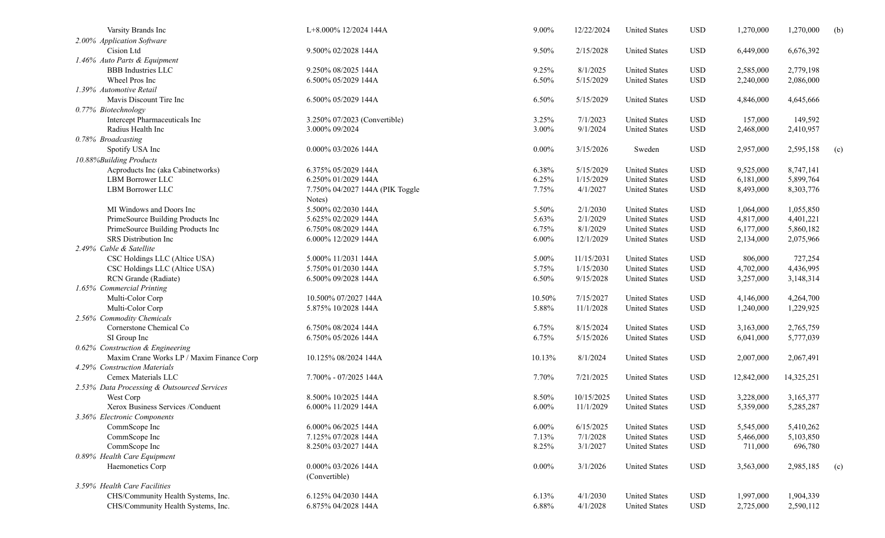| Varsity Brands Inc                          | L+8.000% 12/2024 144A           | 9.00%    | 12/22/2024 | <b>United States</b> | <b>USD</b>   | 1,270,000  | 1,270,000  | (b) |
|---------------------------------------------|---------------------------------|----------|------------|----------------------|--------------|------------|------------|-----|
| 2.00% Application Software                  |                                 |          |            |                      |              |            |            |     |
| Cision Ltd                                  | 9.500% 02/2028 144A             | 9.50%    | 2/15/2028  | <b>United States</b> | <b>USD</b>   | 6,449,000  | 6,676,392  |     |
| 1.46% Auto Parts & Equipment                |                                 |          |            |                      |              |            |            |     |
| <b>BBB</b> Industries LLC                   | 9.250% 08/2025 144A             | 9.25%    | 8/1/2025   | <b>United States</b> | <b>USD</b>   | 2,585,000  | 2,779,198  |     |
| Wheel Pros Inc                              | 6.500% 05/2029 144A             | 6.50%    | 5/15/2029  | <b>United States</b> | <b>USD</b>   | 2,240,000  | 2,086,000  |     |
| 1.39% Automotive Retail                     |                                 |          |            |                      |              |            |            |     |
| Mavis Discount Tire Inc                     | 6.500% 05/2029 144A             | 6.50%    | 5/15/2029  | <b>United States</b> | <b>USD</b>   | 4,846,000  | 4,645,666  |     |
| 0.77% Biotechnology                         |                                 |          |            |                      |              |            |            |     |
| Intercept Pharmaceuticals Inc               | 3.250% 07/2023 (Convertible)    | 3.25%    | 7/1/2023   | <b>United States</b> | <b>USD</b>   | 157,000    | 149,592    |     |
| Radius Health Inc                           | 3.000% 09/2024                  | 3.00%    | 9/1/2024   | <b>United States</b> | <b>USD</b>   | 2,468,000  | 2,410,957  |     |
| 0.78% Broadcasting                          |                                 |          |            |                      |              |            |            |     |
| Spotify USA Inc                             | 0.000% 03/2026 144A             | $0.00\%$ | 3/15/2026  | Sweden               | <b>USD</b>   | 2,957,000  | 2,595,158  | (c) |
| 10.88%Building Products                     |                                 |          |            |                      |              |            |            |     |
| Acproducts Inc (aka Cabinetworks)           | 6.375% 05/2029 144A             | 6.38%    | 5/15/2029  | <b>United States</b> | <b>USD</b>   | 9,525,000  | 8,747,141  |     |
| LBM Borrower LLC                            | 6.250% 01/2029 144A             | 6.25%    | 1/15/2029  | <b>United States</b> | <b>USD</b>   | 6,181,000  | 5,899,764  |     |
| LBM Borrower LLC                            | 7.750% 04/2027 144A (PIK Toggle | 7.75%    | 4/1/2027   | <b>United States</b> | <b>USD</b>   | 8,493,000  | 8,303,776  |     |
|                                             | Notes)                          |          |            |                      |              |            |            |     |
| MI Windows and Doors Inc                    | 5.500% 02/2030 144A             | 5.50%    | 2/1/2030   | <b>United States</b> | <b>USD</b>   | 1,064,000  | 1,055,850  |     |
| PrimeSource Building Products Inc           | 5.625% 02/2029 144A             | 5.63%    | 2/1/2029   | <b>United States</b> | <b>USD</b>   | 4,817,000  | 4,401,221  |     |
| PrimeSource Building Products Inc           | 6.750% 08/2029 144A             | 6.75%    | 8/1/2029   | <b>United States</b> | <b>USD</b>   | 6,177,000  | 5,860,182  |     |
| SRS Distribution Inc                        | 6.000% 12/2029 144A             | $6.00\%$ | 12/1/2029  | <b>United States</b> | <b>USD</b>   | 2,134,000  | 2,075,966  |     |
| 2.49% Cable & Satellite                     |                                 |          |            |                      |              |            |            |     |
| CSC Holdings LLC (Altice USA)               | 5.000% 11/2031 144A             | 5.00%    | 11/15/2031 | <b>United States</b> | <b>USD</b>   | 806,000    | 727,254    |     |
| CSC Holdings LLC (Altice USA)               | 5.750% 01/2030 144A             | 5.75%    | 1/15/2030  | <b>United States</b> | <b>USD</b>   | 4,702,000  | 4,436,995  |     |
| RCN Grande (Radiate)                        | 6.500% 09/2028 144A             | 6.50%    | 9/15/2028  | <b>United States</b> | <b>USD</b>   | 3,257,000  | 3,148,314  |     |
| 1.65% Commercial Printing                   |                                 |          |            |                      |              |            |            |     |
| Multi-Color Corp                            | 10.500% 07/2027 144A            | 10.50%   | 7/15/2027  | <b>United States</b> | <b>USD</b>   | 4,146,000  | 4,264,700  |     |
| Multi-Color Corp                            | 5.875% 10/2028 144A             | 5.88%    | 11/1/2028  | <b>United States</b> | <b>USD</b>   | 1,240,000  | 1,229,925  |     |
| 2.56% Commodity Chemicals                   |                                 |          |            |                      |              |            |            |     |
| Cornerstone Chemical Co                     | 6.750% 08/2024 144A             | 6.75%    | 8/15/2024  | <b>United States</b> | <b>USD</b>   | 3,163,000  | 2,765,759  |     |
| SI Group Inc                                | 6.750% 05/2026 144A             | 6.75%    | 5/15/2026  | <b>United States</b> | <b>USD</b>   | 6,041,000  | 5,777,039  |     |
| 0.62% Construction & Engineering            |                                 |          |            |                      |              |            |            |     |
| Maxim Crane Works LP / Maxim Finance Corp   | 10.125% 08/2024 144A            | 10.13%   | 8/1/2024   | <b>United States</b> | <b>USD</b>   | 2,007,000  | 2,067,491  |     |
| 4.29% Construction Materials                |                                 |          |            |                      |              |            |            |     |
| Cemex Materials LLC                         | 7.700% - 07/2025 144A           | 7.70%    | 7/21/2025  | <b>United States</b> | <b>USD</b>   | 12,842,000 | 14,325,251 |     |
| 2.53% Data Processing & Outsourced Services |                                 |          |            |                      |              |            |            |     |
| West Corp                                   | 8.500% 10/2025 144A             | 8.50%    | 10/15/2025 | <b>United States</b> | <b>USD</b>   | 3,228,000  | 3,165,377  |     |
| Xerox Business Services /Conduent           | 6.000% 11/2029 144A             | $6.00\%$ | 11/1/2029  | <b>United States</b> | <b>USD</b>   | 5,359,000  | 5,285,287  |     |
| 3.36% Electronic Components                 |                                 |          |            |                      |              |            |            |     |
| CommScope Inc                               | 6.000% 06/2025 144A             | $6.00\%$ | 6/15/2025  | <b>United States</b> | <b>USD</b>   | 5,545,000  | 5,410,262  |     |
| CommScope Inc                               | 7.125% 07/2028 144A             | 7.13%    | 7/1/2028   | <b>United States</b> | $_{\rm USD}$ | 5,466,000  | 5,103,850  |     |
| CommScope Inc                               | 8.250% 03/2027 144A             | 8.25%    | 3/1/2027   | <b>United States</b> | <b>USD</b>   | 711,000    | 696,780    |     |
| 0.89% Health Care Equipment                 |                                 |          |            |                      |              |            |            |     |
| Haemonetics Corp                            | 0.000% 03/2026 144A             | $0.00\%$ | 3/1/2026   | <b>United States</b> | <b>USD</b>   | 3,563,000  | 2,985,185  | (c) |
|                                             | (Convertible)                   |          |            |                      |              |            |            |     |
| 3.59% Health Care Facilities                |                                 |          |            |                      |              |            |            |     |
| CHS/Community Health Systems, Inc.          | 6.125% 04/2030 144A             | 6.13%    | 4/1/2030   | <b>United States</b> | <b>USD</b>   | 1,997,000  | 1,904,339  |     |
| CHS/Community Health Systems, Inc.          | 6.875% 04/2028 144A             | 6.88%    | 4/1/2028   | <b>United States</b> | <b>USD</b>   | 2,725,000  | 2,590,112  |     |
|                                             |                                 |          |            |                      |              |            |            |     |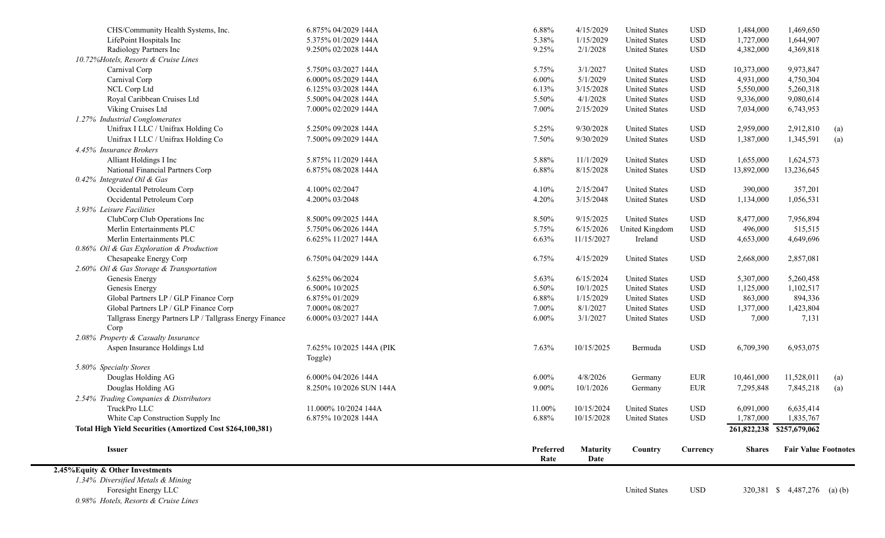| <b>Issuer</b><br>$0/\sqrt{E}$ $\approx$ $0.01$ $\sqrt{E}$  |                                     | Preferred<br>Rate | <b>Maturity</b><br>Date | Country              | Currency     | <b>Shares</b> | <b>Fair Value Footnotes</b> |     |
|------------------------------------------------------------|-------------------------------------|-------------------|-------------------------|----------------------|--------------|---------------|-----------------------------|-----|
|                                                            |                                     |                   |                         |                      |              |               |                             |     |
| Total High Yield Securities (Amortized Cost \$264,100,381) |                                     |                   |                         |                      |              |               | 261,822,238 \$257,679,062   |     |
| White Cap Construction Supply Inc                          | 6.875% 10/2028 144A                 | 6.88%             | 10/15/2028              | <b>United States</b> | $_{\rm USD}$ | 1,787,000     | 1,835,767                   |     |
| TruckPro LLC                                               | 11.000% 10/2024 144A                | 11.00%            | 10/15/2024              | <b>United States</b> | $_{\rm USD}$ | 6,091,000     | 6,635,414                   |     |
| 2.54% Trading Companies & Distributors                     |                                     |                   |                         |                      |              |               |                             |     |
| Douglas Holding AG                                         | 8.250% 10/2026 SUN 144A             | $9.00\%$          | 10/1/2026               | Germany              | ${\rm EUR}$  | 7,295,848     | 7,845,218                   | (a) |
| Douglas Holding AG                                         | 6.000% 04/2026 144A                 | $6.00\%$          | 4/8/2026                | Germany              | <b>EUR</b>   | 10,461,000    | 11,528,011                  | (a) |
| 5.80% Specialty Stores                                     |                                     |                   |                         |                      |              |               |                             |     |
| Aspen Insurance Holdings Ltd                               | 7.625% 10/2025 144A (PIK<br>Toggle) | 7.63%             | 10/15/2025              | Bermuda              | <b>USD</b>   | 6,709,390     | 6,953,075                   |     |
| 2.08% Property & Casualty Insurance                        |                                     |                   |                         |                      |              |               |                             |     |
| Corp                                                       |                                     |                   |                         |                      |              |               |                             |     |
| Tallgrass Energy Partners LP / Tallgrass Energy Finance    | 6.000% 03/2027 144A                 | 6.00%             | 3/1/2027                | <b>United States</b> | <b>USD</b>   | 7,000         | 7,131                       |     |
| Global Partners LP / GLP Finance Corp                      | 7.000% 08/2027                      | 7.00%             | 8/1/2027                | <b>United States</b> | $_{\rm USD}$ | 1,377,000     | 1,423,804                   |     |
| Global Partners LP / GLP Finance Corp                      | 6.875% 01/2029                      | 6.88%             | 1/15/2029               | <b>United States</b> | <b>USD</b>   | 863,000       | 894,336                     |     |
| Genesis Energy                                             | 6.500% 10/2025                      | 6.50%             | 10/1/2025               | <b>United States</b> | $_{\rm USD}$ | 1,125,000     | 1,102,517                   |     |
| Genesis Energy                                             | 5.625% 06/2024                      | 5.63%             | 6/15/2024               | <b>United States</b> | <b>USD</b>   | 5,307,000     | 5,260,458                   |     |
| 2.60% Oil & Gas Storage & Transportation                   |                                     |                   |                         |                      |              |               |                             |     |
| Chesapeake Energy Corp                                     | 6.750% 04/2029 144A                 | 6.75%             | 4/15/2029               | <b>United States</b> | <b>USD</b>   | 2,668,000     | 2,857,081                   |     |
| 0.86% Oil & Gas Exploration & Production                   |                                     |                   |                         |                      |              |               |                             |     |
| Merlin Entertainments PLC                                  | 6.625% 11/2027 144A                 | 6.63%             | 11/15/2027              | Ireland              | $_{\rm USD}$ | 4,653,000     | 4,649,696                   |     |
| Merlin Entertainments PLC                                  | 5.750% 06/2026 144A                 | 5.75%             | 6/15/2026               | United Kingdom       | <b>USD</b>   | 496,000       | 515,515                     |     |
| ClubCorp Club Operations Inc                               | 8.500% 09/2025 144A                 | 8.50%             | 9/15/2025               | <b>United States</b> | <b>USD</b>   | 8,477,000     | 7,956,894                   |     |
| 3.93% Leisure Facilities                                   |                                     |                   |                         |                      |              |               |                             |     |
| Occidental Petroleum Corp                                  | 4.200% 03/2048                      | 4.20%             | 3/15/2048               | <b>United States</b> | $_{\rm USD}$ | 1,134,000     | 1,056,531                   |     |
| Occidental Petroleum Corp                                  | 4.100% 02/2047                      | 4.10%             | 2/15/2047               | <b>United States</b> | $_{\rm USD}$ | 390,000       | 357,201                     |     |
| 0.42% Integrated Oil & Gas                                 |                                     |                   |                         |                      |              |               |                             |     |
| National Financial Partners Corp                           | 6.875% 08/2028 144A                 | 6.88%             | 8/15/2028               | <b>United States</b> | $_{\rm USD}$ | 13,892,000    | 13,236,645                  |     |
| Alliant Holdings I Inc                                     | 5.875% 11/2029 144A                 | 5.88%             | 11/1/2029               | <b>United States</b> | $_{\rm USD}$ | 1,655,000     | 1,624,573                   |     |
| 4.45% Insurance Brokers                                    |                                     |                   |                         |                      |              |               |                             |     |
| Unifrax I LLC / Unifrax Holding Co                         | 7.500% 09/2029 144A                 | 7.50%             | 9/30/2029               | <b>United States</b> | $_{\rm USD}$ | 1,387,000     | 1,345,591                   | (a) |
| Unifrax I LLC / Unifrax Holding Co                         | 5.250% 09/2028 144A                 | 5.25%             | 9/30/2028               | <b>United States</b> | <b>USD</b>   | 2,959,000     | 2,912,810                   | (a) |
| 1.27% Industrial Conglomerates                             |                                     |                   |                         |                      |              |               |                             |     |
| Viking Cruises Ltd                                         | 7.000% 02/2029 144A                 | 7.00%             | 2/15/2029               | <b>United States</b> | $_{\rm USD}$ | 7,034,000     | 6,743,953                   |     |
| Royal Caribbean Cruises Ltd                                | 5.500% 04/2028 144A                 | 5.50%             | 4/1/2028                | <b>United States</b> | <b>USD</b>   | 9,336,000     | 9,080,614                   |     |
| NCL Corp Ltd                                               | 6.125% 03/2028 144A                 | 6.13%             | 3/15/2028               | <b>United States</b> | $_{\rm USD}$ | 5,550,000     | 5,260,318                   |     |
| Carnival Corp                                              | 6.000% 05/2029 144A                 | $6.00\%$          | 5/1/2029                | <b>United States</b> | $_{\rm USD}$ | 4,931,000     | 4,750,304                   |     |
| Carnival Corp                                              | 5.750% 03/2027 144A                 | 5.75%             | 3/1/2027                | <b>United States</b> | $_{\rm USD}$ | 10,373,000    | 9,973,847                   |     |
| 10.72%Hotels, Resorts & Cruise Lines                       |                                     |                   |                         |                      |              |               |                             |     |
| Radiology Partners Inc                                     | 9.250% 02/2028 144A                 | 9.25%             | 2/1/2028                | <b>United States</b> | $_{\rm USD}$ | 4,382,000     | 4,369,818                   |     |
| LifePoint Hospitals Inc                                    | 5.375% 01/2029 144A                 | 5.38%             | 1/15/2029               | <b>United States</b> | $_{\rm USD}$ | 1,727,000     | 1,644,907                   |     |
| CHS/Community Health Systems, Inc.                         | 6.875% 04/2029 144A                 | 6.88%             | 4/15/2029               | <b>United States</b> | <b>USD</b>   | 1,484,000     | 1,469,650                   |     |
|                                                            |                                     |                   |                         |                      |              |               |                             |     |

**2.45%Equity & Other Investments**

*1.34% Diversified Metals & Mining 0.98% Hotels, Resorts & Cruise Lines*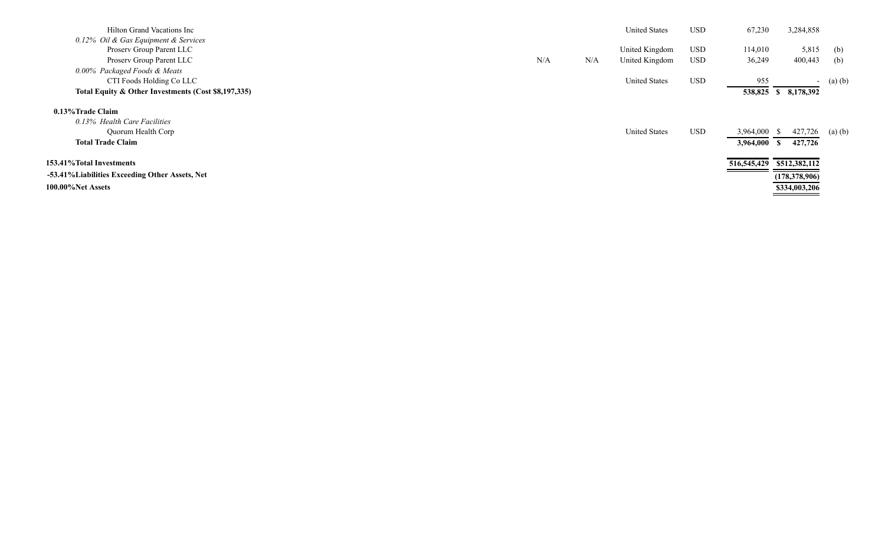| Hilton Grand Vacations Inc                          |     |     | <b>United States</b> | <b>USD</b> | 67,230    | 3,284,858                 |           |
|-----------------------------------------------------|-----|-----|----------------------|------------|-----------|---------------------------|-----------|
| 0.12% Oil & Gas Equipment & Services                |     |     |                      |            |           |                           |           |
| Proserv Group Parent LLC                            |     |     | United Kingdom       | USD        | 114,010   | 5,815                     | (b)       |
| Proserv Group Parent LLC                            | N/A | N/A | United Kingdom       | USD        | 36,249    | 400,443                   | (b)       |
| 0.00% Packaged Foods & Meats                        |     |     |                      |            |           |                           |           |
| CTI Foods Holding Co LLC                            |     |     | <b>United States</b> | <b>USD</b> | 955       |                           | - (a) (b) |
| Total Equity & Other Investments (Cost \$8,197,335) |     |     |                      |            |           | 538,825 \$ 8,178,392      |           |
| 0.13% Trade Claim                                   |     |     |                      |            |           |                           |           |
| 0.13% Health Care Facilities                        |     |     |                      |            |           |                           |           |
| Quorum Health Corp                                  |     |     | <b>United States</b> | USD        | 3,964,000 | 427,726                   | (a)(b)    |
| <b>Total Trade Claim</b>                            |     |     |                      |            | 3,964,000 | 427,726                   |           |
| 153.41% Total Investments                           |     |     |                      |            |           | 516,545,429 \$512,382,112 |           |
| -53.41% Liabilities Exceeding Other Assets, Net     |     |     |                      |            |           | (178, 378, 906)           |           |
| 100.00%Net Assets                                   |     |     |                      |            |           | \$334,003,206             |           |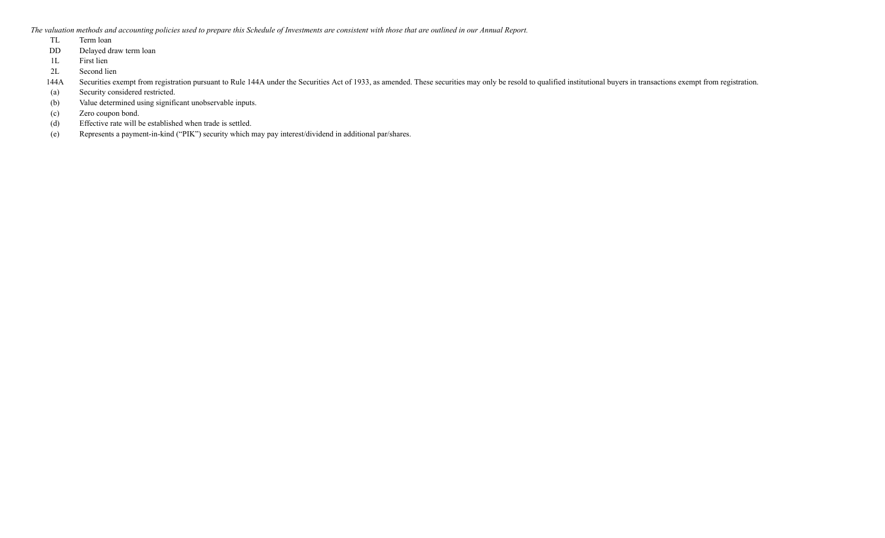*The valuation methods and accounting policies used to prepare this Schedule of Investments are consistent with those that are outlined in our Annual Report.*

- TL Term loan
- DD Delayed draw term loan
- 1L First lien
- 2L Second lien

144A Securities exempt from registration pursuant to Rule 144A under the Securities Act of 1933, as amended. These securities may only be resold to qualified institutional buyers in transactions exempt from registration.

- (a) Security considered restricted.
- (b) Value determined using significant unobservable inputs.
- (c) Zero coupon bond.
- (d) Effective rate will be established when trade is settled.
- (e) Represents a payment-in-kind ("PIK") security which may pay interest/dividend in additional par/shares.